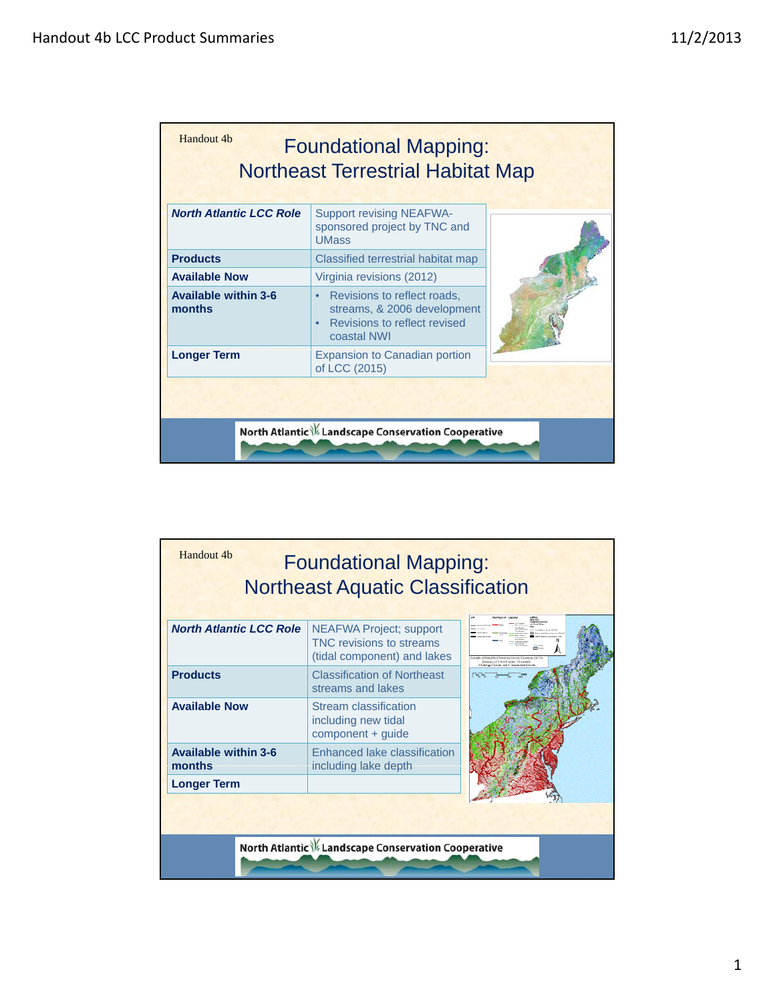| Handout 4b                            | <b>Foundational Mapping:</b><br><b>Northeast Terrestrial Habitat Map</b>                                  |  |
|---------------------------------------|-----------------------------------------------------------------------------------------------------------|--|
| <b>North Atlantic LCC Role</b>        | <b>Support revising NEAFWA-</b><br>sponsored project by TNC and<br><b>UMass</b>                           |  |
| <b>Products</b>                       | Classified terrestrial habitat map                                                                        |  |
| <b>Available Now</b>                  | Virginia revisions (2012)                                                                                 |  |
| <b>Available within 3-6</b><br>months | Revisions to reflect roads,<br>streams, & 2006 development<br>Revisions to reflect revised<br>coastal NWI |  |
| <b>Longer Term</b>                    | <b>Expansion to Canadian portion</b><br>of LCC (2015)                                                     |  |
|                                       |                                                                                                           |  |
|                                       | North Atlantic \% Landscape Conservation Cooperative                                                      |  |

| Handout 4b                            | <b>Foundational Mapping:</b><br><b>Northeast Aquatic Classification</b>                          |                                 |
|---------------------------------------|--------------------------------------------------------------------------------------------------|---------------------------------|
| <b>North Atlantic LCC Role</b>        | <b>NEAFWA Project; support</b><br><b>TNC revisions to streams</b><br>(tidal component) and lakes | Change and J. Tenning store Cha |
| <b>Products</b>                       | <b>Classification of Northeast</b><br>streams and lakes                                          |                                 |
| <b>Available Now</b>                  | Stream classification<br>including new tidal<br>component + guide                                |                                 |
| <b>Available within 3-6</b><br>months | Enhanced lake classification<br>including lake depth                                             |                                 |
| <b>Longer Term</b>                    |                                                                                                  |                                 |
|                                       | North Atlantic \% Landscape Conservation Cooperative                                             |                                 |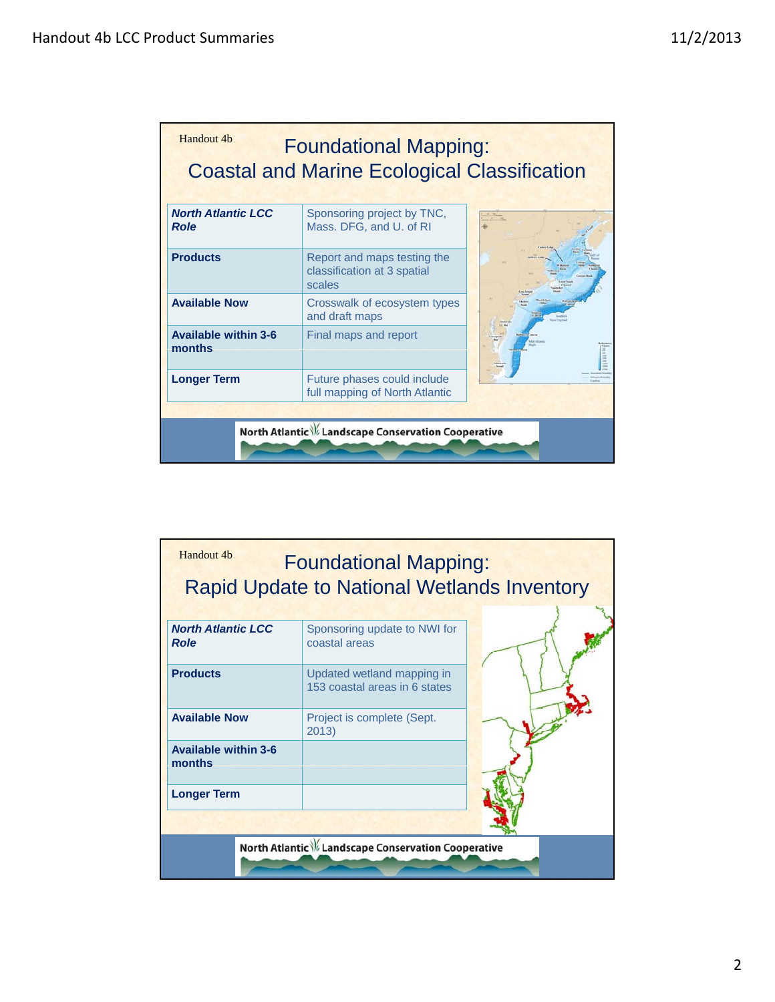| <b>North Atlantic LCC</b><br><b>Role</b> | Sponsoring project by TNC,<br>Mass. DFG, and U. of RI                |  |
|------------------------------------------|----------------------------------------------------------------------|--|
| <b>Products</b>                          | Report and maps testing the<br>classification at 3 spatial<br>scales |  |
| <b>Available Now</b>                     | Crosswalk of ecosystem types<br>and draft maps                       |  |
| <b>Available within 3-6</b><br>months    | Final maps and report                                                |  |
| <b>Longer Term</b>                       | Future phases could include<br>full mapping of North Atlantic        |  |

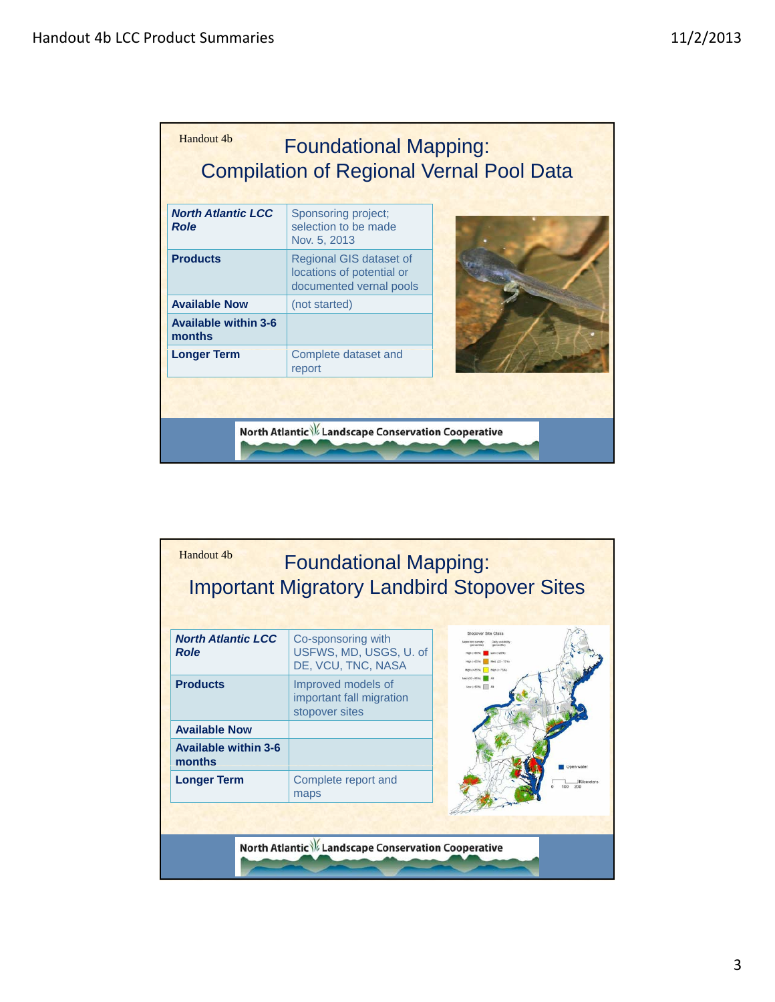| <b>North Atlantic LCC</b><br><b>Role</b> | Sponsoring project;<br>selection to be made<br>Nov. 5, 2013                     |  |
|------------------------------------------|---------------------------------------------------------------------------------|--|
| <b>Products</b>                          | Regional GIS dataset of<br>locations of potential or<br>documented vernal pools |  |
| <b>Available Now</b>                     | (not started)                                                                   |  |
| <b>Available within 3-6</b><br>months    |                                                                                 |  |
| <b>Longer Term</b>                       | Complete dataset and<br>report                                                  |  |

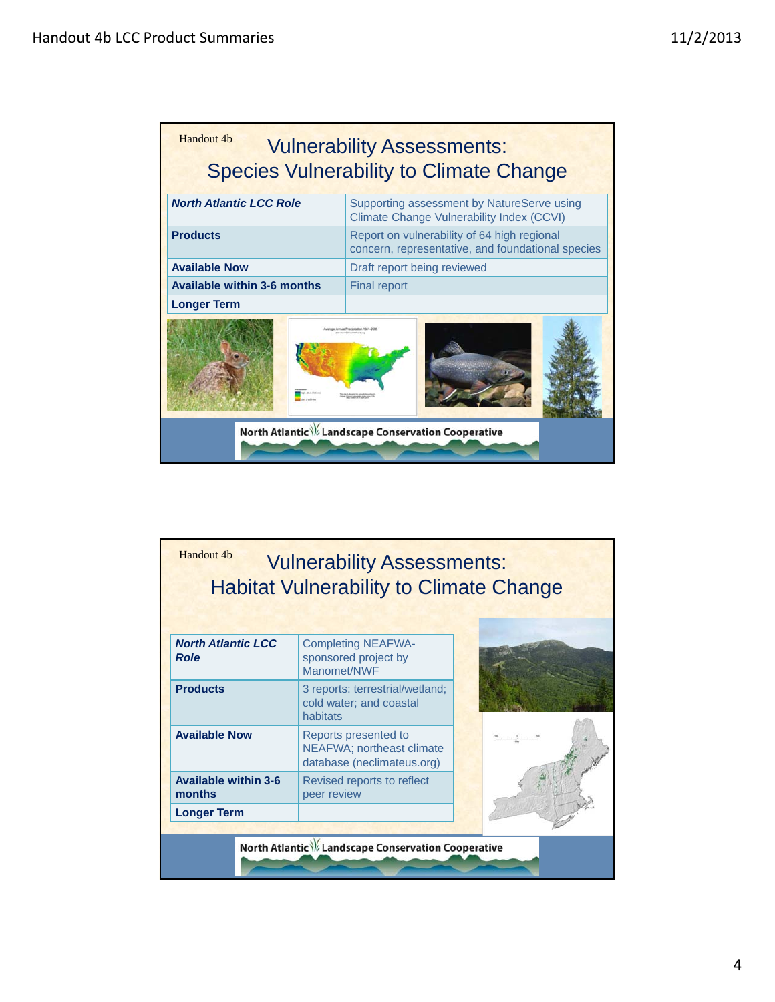

| Handout 4b                               | <b>Vulnerability Assessments:</b><br><b>Habitat Vulnerability to Climate Change</b> |  |
|------------------------------------------|-------------------------------------------------------------------------------------|--|
| <b>North Atlantic LCC</b><br><b>Role</b> | <b>Completing NEAFWA-</b><br>sponsored project by<br>Manomet/NWF                    |  |
| <b>Products</b>                          | 3 reports: terrestrial/wetland;<br>cold water; and coastal<br>habitats              |  |
| <b>Available Now</b>                     | Reports presented to<br>NEAFWA; northeast climate<br>database (neclimateus.org)     |  |
| <b>Available within 3-6</b><br>months    | Revised reports to reflect<br>peer review                                           |  |
| <b>Longer Term</b>                       |                                                                                     |  |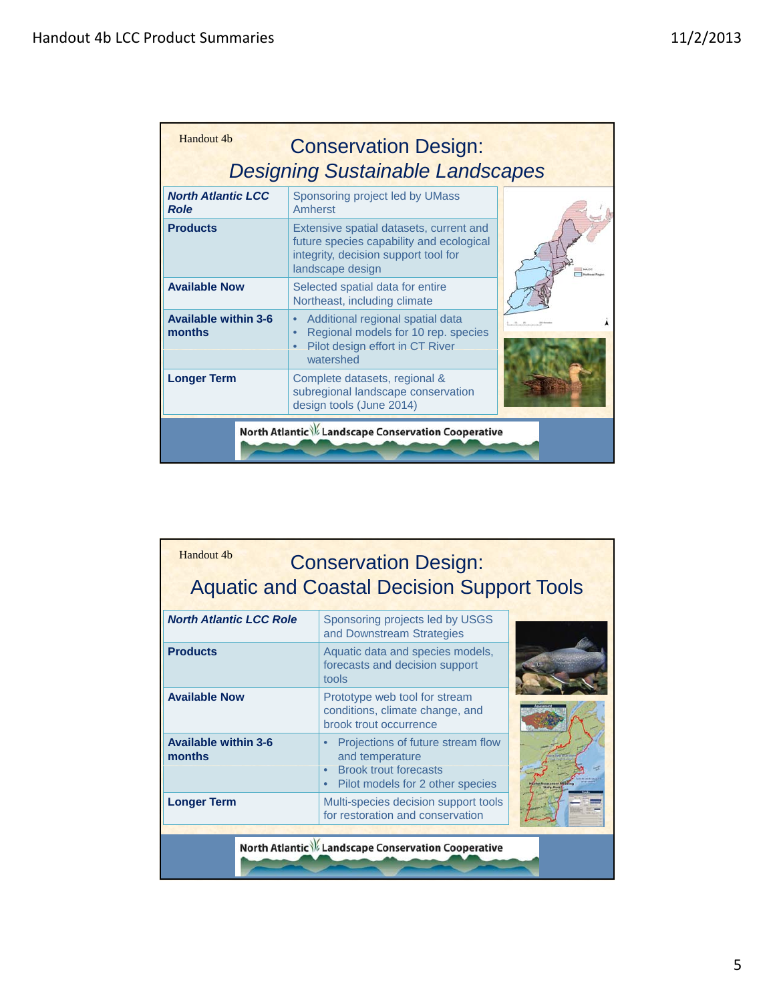| Handout 4b<br><b>Conservation Design:</b><br><b>Designing Sustainable Landscapes</b> |                                                                                                                                                 |  |
|--------------------------------------------------------------------------------------|-------------------------------------------------------------------------------------------------------------------------------------------------|--|
| <b>North Atlantic LCC</b><br><b>Role</b>                                             | Sponsoring project led by UMass<br>Amherst                                                                                                      |  |
| <b>Products</b>                                                                      | Extensive spatial datasets, current and<br>future species capability and ecological<br>integrity, decision support tool for<br>landscape design |  |
| <b>Available Now</b>                                                                 | Selected spatial data for entire<br>Northeast, including climate                                                                                |  |
| <b>Available within 3-6</b><br>months                                                | Additional regional spatial data<br>Regional models for 10 rep. species<br>Pilot design effort in CT River<br>watershed                         |  |
| <b>Longer Term</b>                                                                   | Complete datasets, regional &<br>subregional landscape conservation<br>design tools (June 2014)                                                 |  |
| North Atlantic \% Landscape Conservation Cooperative                                 |                                                                                                                                                 |  |

| Handout 4b                            | <b>Conservation Design:</b><br><b>Aquatic and Coastal Decision Support Tools</b>                                                      |  |
|---------------------------------------|---------------------------------------------------------------------------------------------------------------------------------------|--|
| <b>North Atlantic LCC Role</b>        | Sponsoring projects led by USGS<br>and Downstream Strategies                                                                          |  |
| <b>Products</b>                       | Aquatic data and species models,<br>forecasts and decision support<br>tools                                                           |  |
| <b>Available Now</b>                  | Prototype web tool for stream<br>conditions, climate change, and<br>brook trout occurrence                                            |  |
| <b>Available within 3-6</b><br>months | Projections of future stream flow<br>and temperature<br><b>Brook trout forecasts</b><br>Pilot models for 2 other species<br>$\bullet$ |  |
| <b>Longer Term</b>                    | Multi-species decision support tools<br>for restoration and conservation                                                              |  |
|                                       | North Atlantic \% Landscape Conservation Cooperative                                                                                  |  |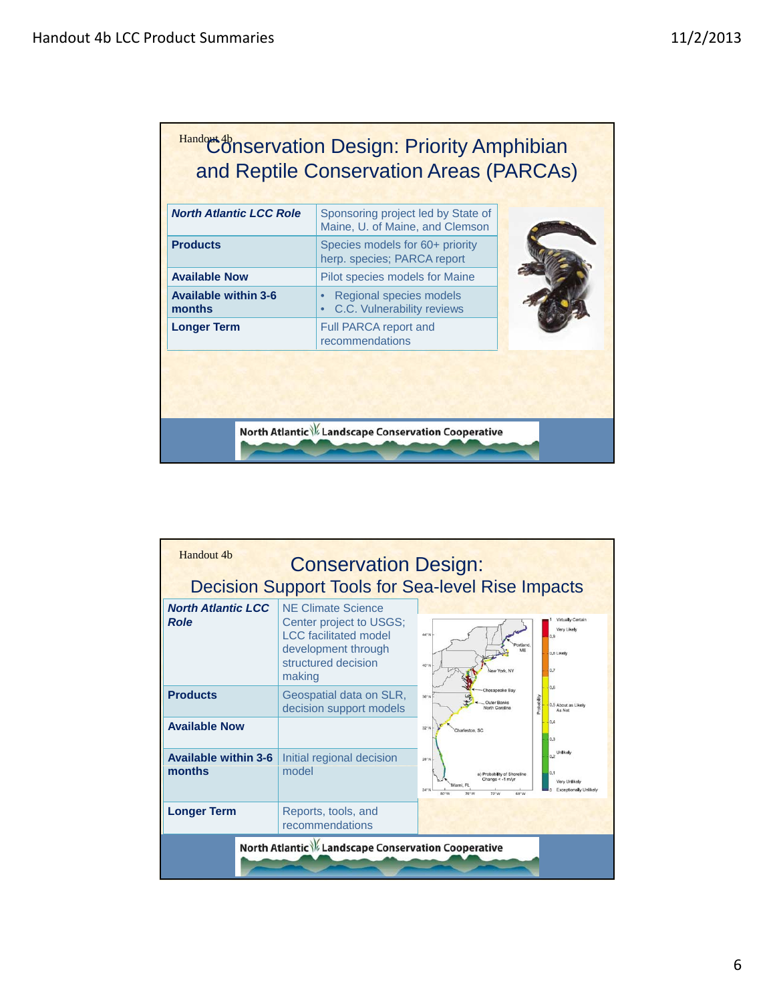| <b>North Atlantic LCC Role</b>        | Sponsoring project led by State of<br>Maine, U. of Maine, and Clemson |
|---------------------------------------|-----------------------------------------------------------------------|
| <b>Products</b>                       | Species models for 60+ priority<br>herp. species; PARCA report        |
| <b>Available Now</b>                  | Pilot species models for Maine                                        |
| <b>Available within 3-6</b><br>months | Regional species models<br>C.C. Vulnerability reviews                 |
| <b>Longer Term</b>                    | Full PARCA report and<br>recommendations                              |

| Handout 4b                               | <b>Conservation Design:</b>                                                                                                                  |                                                                                                                                                                                              |
|------------------------------------------|----------------------------------------------------------------------------------------------------------------------------------------------|----------------------------------------------------------------------------------------------------------------------------------------------------------------------------------------------|
|                                          |                                                                                                                                              | <b>Decision Support Tools for Sea-level Rise Impacts</b>                                                                                                                                     |
| <b>North Atlantic LCC</b><br><b>Role</b> | <b>NE Climate Science</b><br>Center project to USGS;<br><b>LCC</b> facilitated model<br>development through<br>structured decision<br>making | Virtually Certain<br>Very Likely<br>44°N<br>0.9<br>MF<br>0.8 Likely<br>40°N<br>0.7<br>New York, NY<br>0.6                                                                                    |
| <b>Products</b>                          | Geospatial data on SLR,<br>decision support models                                                                                           | Chesapeake Bay<br>$36^{\circ}N$<br>chabity<br>Outer Banks<br>0.5 About as Likely<br>North Carolina<br>As Not                                                                                 |
| <b>Available Now</b>                     |                                                                                                                                              | 0.4<br>$32^\circ N$<br>Charleston, SC<br>0.3                                                                                                                                                 |
| <b>Available within 3-6</b><br>months    | Initial regional decision<br>model                                                                                                           | Unlikely<br>0.2<br>28°N<br>0.1<br>a) Probability of Shoreline<br>Change < -1 m/vi<br>Very Unlikely<br>Miami, FL<br>$24^{\circ}$ N<br>Exceptionally Unlikely<br>80°W<br>76° W<br>68°W<br>72°W |
| <b>Longer Term</b>                       | Reports, tools, and<br>recommendations                                                                                                       |                                                                                                                                                                                              |
|                                          | North Atlantic \% Landscape Conservation Cooperative                                                                                         |                                                                                                                                                                                              |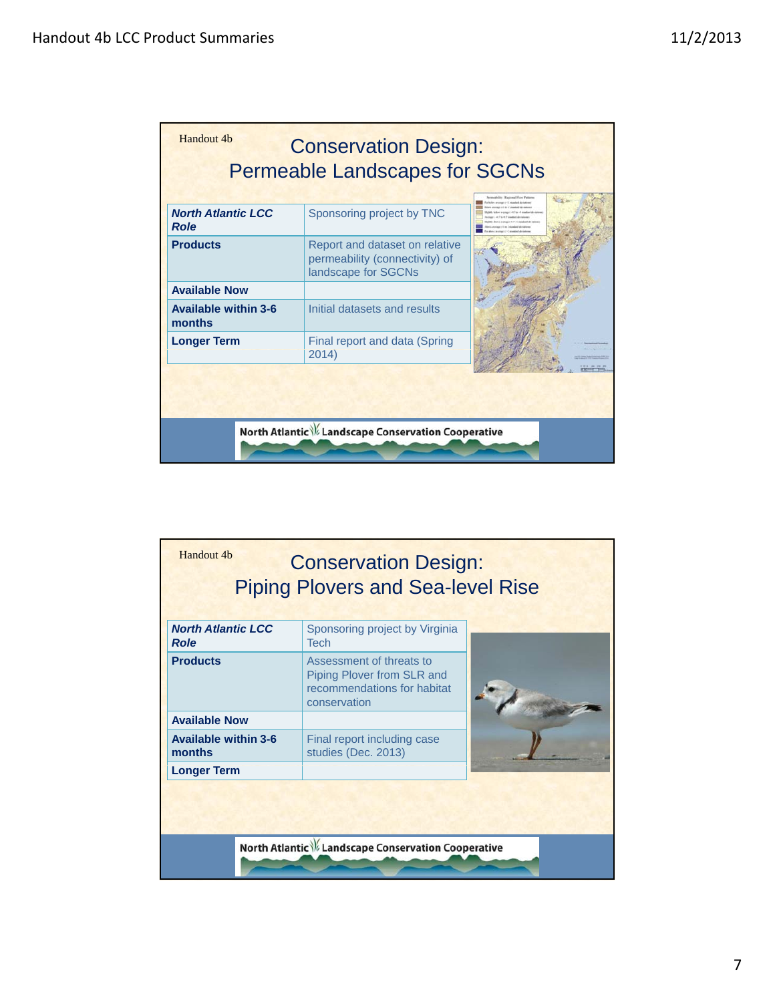| Handout 4b                               | <b>Conservation Design:</b><br><b>Permeable Landscapes for SGCNs</b>                    | Permanhility: Regional Floor Patterns                                                                                                                                                                                                                       |
|------------------------------------------|-----------------------------------------------------------------------------------------|-------------------------------------------------------------------------------------------------------------------------------------------------------------------------------------------------------------------------------------------------------------|
| <b>North Atlantic LCC</b><br><b>Role</b> | Sponsoring project by TNC                                                               | a failer archaeol C-2 stadius and a<br>center of the desired deviations<br>they be aware (1983) to 18 street and also in<br>in 10 mm 40 17 streamfored also institute<br>and accessory (1917). It returns all the to<br>and it is a 7 streament due instead |
| <b>Products</b>                          | Report and dataset on relative<br>permeability (connectivity) of<br>landscape for SGCNs |                                                                                                                                                                                                                                                             |
| <b>Available Now</b>                     |                                                                                         |                                                                                                                                                                                                                                                             |
| <b>Available within 3-6</b><br>months    | Initial datasets and results                                                            |                                                                                                                                                                                                                                                             |
| <b>Longer Term</b>                       | Final report and data (Spring<br>2014)                                                  |                                                                                                                                                                                                                                                             |
|                                          |                                                                                         |                                                                                                                                                                                                                                                             |
|                                          | North Atlantic \% Landscape Conservation Cooperative                                    |                                                                                                                                                                                                                                                             |

| <b>North Atlantic LCC</b>                                     | <b>Conservation Design:</b><br><b>Piping Plovers and Sea-level Rise</b><br>Sponsoring project by Virginia            |  |
|---------------------------------------------------------------|----------------------------------------------------------------------------------------------------------------------|--|
| <b>Role</b><br><b>Products</b>                                | <b>Tech</b><br>Assessment of threats to<br>Piping Plover from SLR and<br>recommendations for habitat<br>conservation |  |
| <b>Available Now</b><br><b>Available within 3-6</b><br>months | Final report including case<br>studies (Dec. 2013)                                                                   |  |
| <b>Longer Term</b>                                            |                                                                                                                      |  |
|                                                               | North Atlantic \% Landscape Conservation Cooperative                                                                 |  |